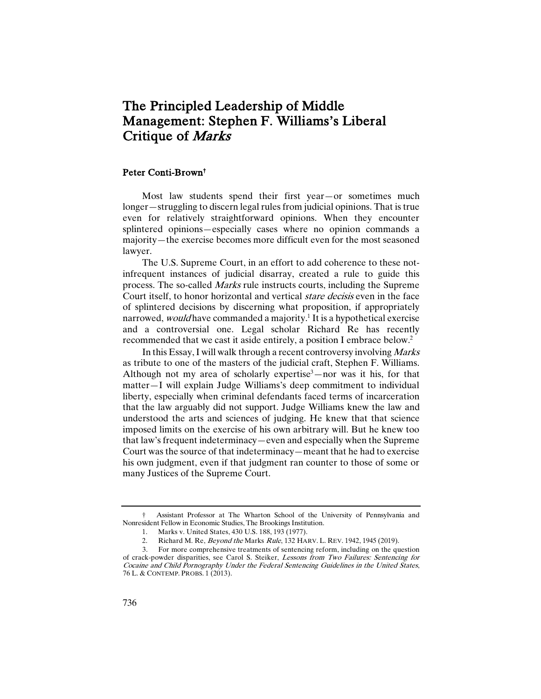# The Principled Leadership of Middle Management: Stephen F. Williams's Liberal Critique of Marks

#### Peter Conti-Brown†

Most law students spend their first year—or sometimes much longer—struggling to discern legal rules from judicial opinions. That is true even for relatively straightforward opinions. When they encounter splintered opinions—especially cases where no opinion commands a majority—the exercise becomes more difficult even for the most seasoned lawyer.

The U.S. Supreme Court, in an effort to add coherence to these notinfrequent instances of judicial disarray, created a rule to guide this process. The so-called Marks rule instructs courts, including the Supreme Court itself, to honor horizontal and vertical stare decisis even in the face of splintered decisions by discerning what proposition, if appropriately narrowed, *would* have commanded a majority.<sup>1</sup> It is a hypothetical exercise and a controversial one. Legal scholar Richard Re has recently recommended that we cast it aside entirely, a position I embrace below.2

In this Essay, I will walk through a recent controversy involving Marks as tribute to one of the masters of the judicial craft, Stephen F. Williams. Although not my area of scholarly expertise $3$ —nor was it his, for that matter—I will explain Judge Williams's deep commitment to individual liberty, especially when criminal defendants faced terms of incarceration that the law arguably did not support. Judge Williams knew the law and understood the arts and sciences of judging. He knew that that science imposed limits on the exercise of his own arbitrary will. But he knew too that law's frequent indeterminacy—even and especially when the Supreme Court was the source of that indeterminacy—meant that he had to exercise his own judgment, even if that judgment ran counter to those of some or many Justices of the Supreme Court.

<sup>†</sup> Assistant Professor at The Wharton School of the University of Pennsylvania and Nonresident Fellow in Economic Studies, The Brookings Institution.

<sup>1.</sup> Marks v. United States, 430 U.S. 188, 193 (1977).

<sup>2.</sup> Richard M. Re, *Beyond the Marks Rule*, 132 HARV. L. REV. 1942, 1945 (2019).

<sup>3.</sup> For more comprehensive treatments of sentencing reform, including on the question of crack-powder disparities, see Carol S. Steiker, Lessons from Two Failures: Sentencing for Cocaine and Child Pornography Under the Federal Sentencing Guidelines in the United States, 76 L. & CONTEMP. PROBS. 1 (2013).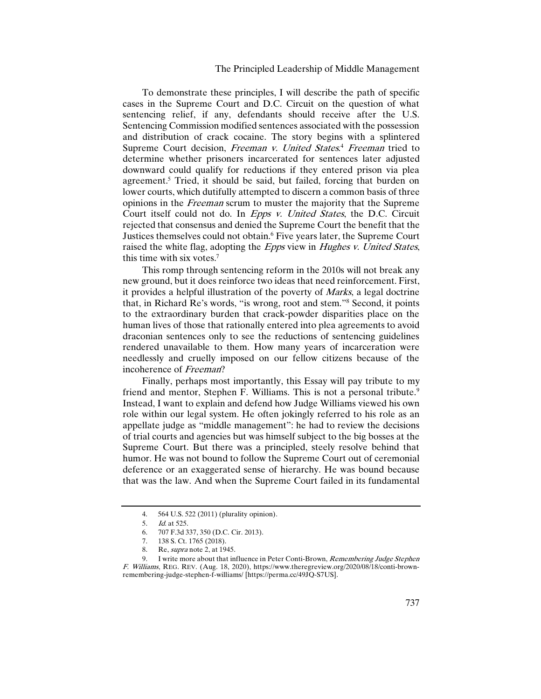## The Principled Leadership of Middle Management

To demonstrate these principles, I will describe the path of specific cases in the Supreme Court and D.C. Circuit on the question of what sentencing relief, if any, defendants should receive after the U.S. Sentencing Commission modified sentences associated with the possession and distribution of crack cocaine. The story begins with a splintered Supreme Court decision, *Freeman v. United States.<sup>4</sup> Freeman* tried to determine whether prisoners incarcerated for sentences later adjusted downward could qualify for reductions if they entered prison via plea agreement.5 Tried, it should be said, but failed, forcing that burden on lower courts, which dutifully attempted to discern a common basis of three opinions in the Freeman scrum to muster the majority that the Supreme Court itself could not do. In Epps v. United States, the D.C. Circuit rejected that consensus and denied the Supreme Court the benefit that the Justices themselves could not obtain.<sup>6</sup> Five years later, the Supreme Court raised the white flag, adopting the *Epps* view in *Hughes v. United States*, this time with six votes. 7

This romp through sentencing reform in the 2010s will not break any new ground, but it does reinforce two ideas that need reinforcement. First, it provides a helpful illustration of the poverty of Marks, a legal doctrine that, in Richard Re's words, "is wrong, root and stem."8 Second, it points to the extraordinary burden that crack-powder disparities place on the human lives of those that rationally entered into plea agreements to avoid draconian sentences only to see the reductions of sentencing guidelines rendered unavailable to them. How many years of incarceration were needlessly and cruelly imposed on our fellow citizens because of the incoherence of Freeman?

Finally, perhaps most importantly, this Essay will pay tribute to my friend and mentor, Stephen F. Williams. This is not a personal tribute.<sup>9</sup> Instead, I want to explain and defend how Judge Williams viewed his own role within our legal system. He often jokingly referred to his role as an appellate judge as "middle management": he had to review the decisions of trial courts and agencies but was himself subject to the big bosses at the Supreme Court. But there was a principled, steely resolve behind that humor. He was not bound to follow the Supreme Court out of ceremonial deference or an exaggerated sense of hierarchy. He was bound because that was the law. And when the Supreme Court failed in its fundamental

<sup>4.</sup> 564 U.S. 522 (2011) (plurality opinion).

<sup>5.</sup> Id. at 525.

<sup>6. 707</sup> F.3d 337, 350 (D.C. Cir. 2013).<br>7. 138 S. Ct. 1765 (2018).<br>8. Re, *supra* note 2, at 1945.

<sup>138</sup> S. Ct. 1765 (2018).

<sup>8.</sup> Re, *supra* note 2, at 1945.<br>9. I write more about that in

I write more about that influence in Peter Conti-Brown, Remembering Judge Stephen F. Williams, REG. REV. (Aug. 18, 2020), https://www.theregreview.org/2020/08/18/conti-brownremembering-judge-stephen-f-williams/ [https://perma.cc/49JQ-S7US].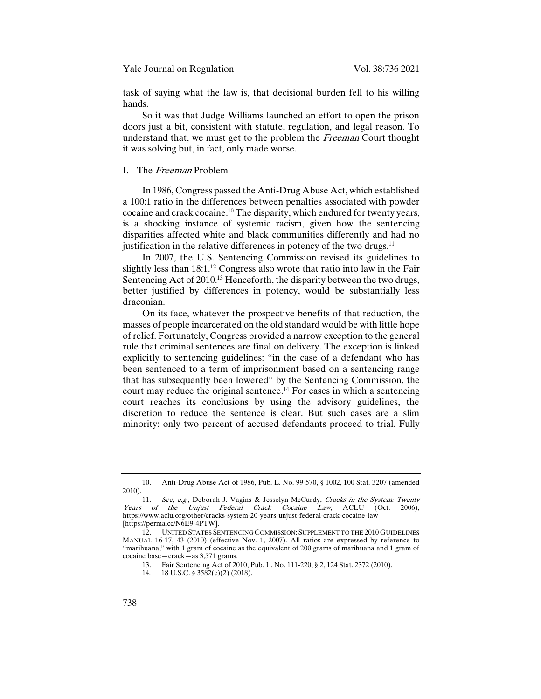task of saying what the law is, that decisional burden fell to his willing hands.

So it was that Judge Williams launched an effort to open the prison doors just a bit, consistent with statute, regulation, and legal reason. To understand that, we must get to the problem the *Freeman* Court thought it was solving but, in fact, only made worse.

### I. The Freeman Problem

In 1986, Congress passed the Anti-Drug Abuse Act, which established a 100:1 ratio in the differences between penalties associated with powder cocaine and crack cocaine.10 The disparity, which endured for twenty years, is a shocking instance of systemic racism, given how the sentencing disparities affected white and black communities differently and had no justification in the relative differences in potency of the two drugs. $^{11}$ 

In 2007, the U.S. Sentencing Commission revised its guidelines to slightly less than  $18:1<sup>12</sup>$  Congress also wrote that ratio into law in the Fair Sentencing Act of 2010.<sup>13</sup> Henceforth, the disparity between the two drugs, better justified by differences in potency, would be substantially less draconian.

On its face, whatever the prospective benefits of that reduction, the masses of people incarcerated on the old standard would be with little hope of relief. Fortunately, Congress provided a narrow exception to the general rule that criminal sentences are final on delivery. The exception is linked explicitly to sentencing guidelines: "in the case of a defendant who has been sentenced to a term of imprisonment based on a sentencing range that has subsequently been lowered" by the Sentencing Commission, the court may reduce the original sentence.<sup>14</sup> For cases in which a sentencing court reaches its conclusions by using the advisory guidelines, the discretion to reduce the sentence is clear. But such cases are a slim minority: only two percent of accused defendants proceed to trial. Fully

<sup>10.</sup> Anti-Drug Abuse Act of 1986, Pub. L. No. 99-570, § 1002, 100 Stat. 3207 (amended 2010).

<sup>11.</sup> See, e.g., Deborah J. Vagins & Jesselyn McCurdy, Cracks in the System: Twenty<br>
i of the Unjust Federal Crack Cocaine Law, ACLU (Oct. 2006), Years of the Unjust Federal Crack Cocaine Law, ACLU (Oct. https://www.aclu.org/other/cracks-system-20-years-unjust-federal-crack-cocaine-law [https://perma.cc/N6E9-4PTW].

<sup>12.</sup> UNITED STATES SENTENCING COMMISSION: SUPPLEMENT TO THE 2010 GUIDELINES MANUAL 16-17, 43 (2010) (effective Nov. 1, 2007). All ratios are expressed by reference to "marihuana," with 1 gram of cocaine as the equivalent of 200 grams of marihuana and 1 gram of cocaine base—crack—as 3,571 grams.

<sup>13.</sup> Fair Sentencing Act of 2010, Pub. L. No. 111-220, § 2, 124 Stat. 2372 (2010).

<sup>14.</sup> 18 U.S.C. § 3582(c)(2) (2018).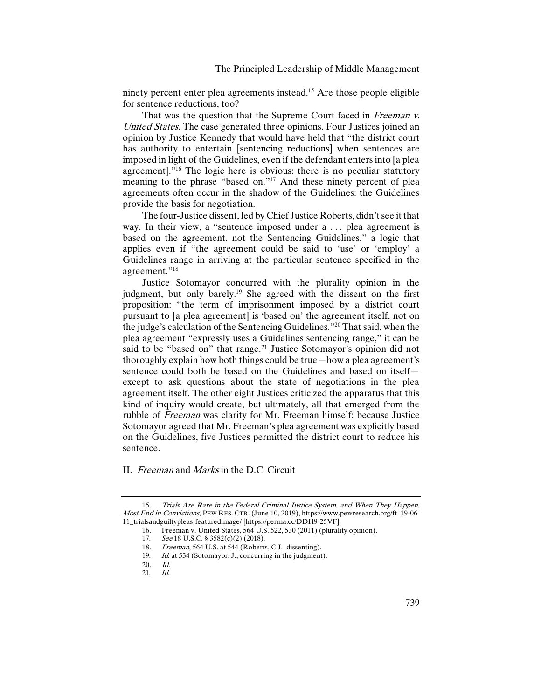ninety percent enter plea agreements instead. <sup>15</sup> Are those people eligible for sentence reductions, too?

That was the question that the Supreme Court faced in Freeman v. United States. The case generated three opinions. Four Justices joined an opinion by Justice Kennedy that would have held that "the district court has authority to entertain [sentencing reductions] when sentences are imposed in light of the Guidelines, even if the defendant enters into [a plea agreement]."16 The logic here is obvious: there is no peculiar statutory meaning to the phrase "based on."<sup>17</sup> And these ninety percent of plea agreements often occur in the shadow of the Guidelines: the Guidelines provide the basis for negotiation.

The four-Justice dissent, led by Chief Justice Roberts, didn't see it that way. In their view, a "sentence imposed under a ... plea agreement is based on the agreement, not the Sentencing Guidelines," a logic that applies even if "the agreement could be said to 'use' or 'employ' a Guidelines range in arriving at the particular sentence specified in the agreement."18

Justice Sotomayor concurred with the plurality opinion in the judgment, but only barely.<sup>19</sup> She agreed with the dissent on the first proposition: "the term of imprisonment imposed by a district court pursuant to [a plea agreement] is 'based on' the agreement itself, not on the judge's calculation of the Sentencing Guidelines."20 That said, when the plea agreement "expressly uses a Guidelines sentencing range," it can be said to be "based on" that range.<sup>21</sup> Justice Sotomayor's opinion did not thoroughly explain how both things could be true—how a plea agreement's sentence could both be based on the Guidelines and based on itself except to ask questions about the state of negotiations in the plea agreement itself. The other eight Justices criticized the apparatus that this kind of inquiry would create, but ultimately, all that emerged from the rubble of Freeman was clarity for Mr. Freeman himself: because Justice Sotomayor agreed that Mr. Freeman's plea agreement was explicitly based on the Guidelines, five Justices permitted the district court to reduce his sentence.

II. Freeman and Marks in the D.C. Circuit

<sup>15.</sup> Trials Are Rare in the Federal Criminal Justice System, and When They Happen, Most End in Convictions, PEW RES. CTR. (June 10, 2019), https://www.pewresearch.org/ft\_19-06- 11\_trialsandguiltypleas-featuredimage/ [https://perma.cc/DDH9-25VF].

<sup>16.</sup> Freeman v. United States, 564 U.S. 522, 530 (2011) (plurality opinion).

<sup>17.</sup> See 18 U.S.C. § 3582(c)(2) (2018).

<sup>18.</sup> *Freeman*, 564 U.S. at 544 (Roberts, C.J., dissenting).<br>19. *Id.* at 534 (Sotomayor J., concurring in the judgment

Id. at 534 (Sotomayor, J., concurring in the judgment).

 $\begin{array}{cc} 20. & Id. \\ 21 & Id. \end{array}$ 

<sup>21.</sup> Id.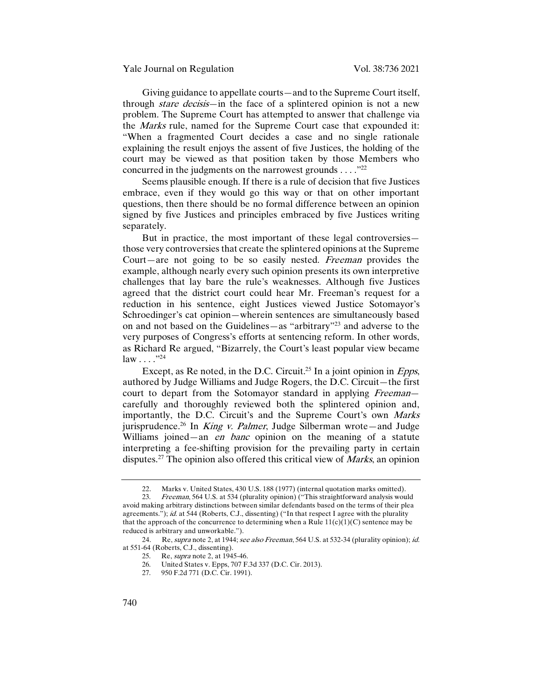Giving guidance to appellate courts—and to the Supreme Court itself, through *stare decisis*—in the face of a splintered opinion is not a new problem. The Supreme Court has attempted to answer that challenge via the Marks rule, named for the Supreme Court case that expounded it: "When a fragmented Court decides a case and no single rationale explaining the result enjoys the assent of five Justices, the holding of the court may be viewed as that position taken by those Members who concurred in the judgments on the narrowest grounds  $\dots$ ."<sup>22</sup>

Seems plausible enough. If there is a rule of decision that five Justices embrace, even if they would go this way or that on other important questions, then there should be no formal difference between an opinion signed by five Justices and principles embraced by five Justices writing separately.

But in practice, the most important of these legal controversies those very controversies that create the splintered opinions at the Supreme Court—are not going to be so easily nested. Freeman provides the example, although nearly every such opinion presents its own interpretive challenges that lay bare the rule's weaknesses. Although five Justices agreed that the district court could hear Mr. Freeman's request for a reduction in his sentence, eight Justices viewed Justice Sotomayor's Schroedinger's cat opinion—wherein sentences are simultaneously based on and not based on the Guidelines—as "arbitrary"23 and adverse to the very purposes of Congress's efforts at sentencing reform. In other words, as Richard Re argued, "Bizarrely, the Court's least popular view became  $law \dots$ ."24

Except, as Re noted, in the D.C. Circuit.<sup>25</sup> In a joint opinion in *Epps*, authored by Judge Williams and Judge Rogers, the D.C. Circuit—the first court to depart from the Sotomayor standard in applying *Freeman* carefully and thoroughly reviewed both the splintered opinion and, importantly, the D.C. Circuit's and the Supreme Court's own Marks jurisprudence.<sup>26</sup> In *King v. Palmer*, Judge Silberman wrote—and Judge Williams joined—an *en banc* opinion on the meaning of a statute interpreting a fee-shifting provision for the prevailing party in certain disputes.<sup>27</sup> The opinion also offered this critical view of *Marks*, an opinion

<sup>22.</sup> Marks v. United States, 430 U.S. 188 (1977) (internal quotation marks omitted).<br>23. Ereeman 564 U.S. at 534 (plurality opinion) ("This straightforward analysis wou

Freeman, 564 U.S. at 534 (plurality opinion) ("This straightforward analysis would avoid making arbitrary distinctions between similar defendants based on the terms of their plea agreements."); id. at 544 (Roberts, C.J., dissenting) ("In that respect I agree with the plurality that the approach of the concurrence to determining when a Rule  $11(c)(1)(C)$  sentence may be reduced is arbitrary and unworkable.").

<sup>24.</sup> Re, supra note 2, at 1944; see also Freeman, 564 U.S. at 532-34 (plurality opinion); id. at 551-64 (Roberts, C.J., dissenting).

<sup>25.</sup> Re, *supra* note 2, at  $1945-46$ .<br>26 United States v Epps  $707 F$ 

<sup>26.</sup> United States v. Epps, 707 F.3d 337 (D.C. Cir. 2013).<br>27. 950 F.2d 771 (D.C. Cir. 1991).

<sup>950</sup> F.2d 771 (D.C. Cir. 1991).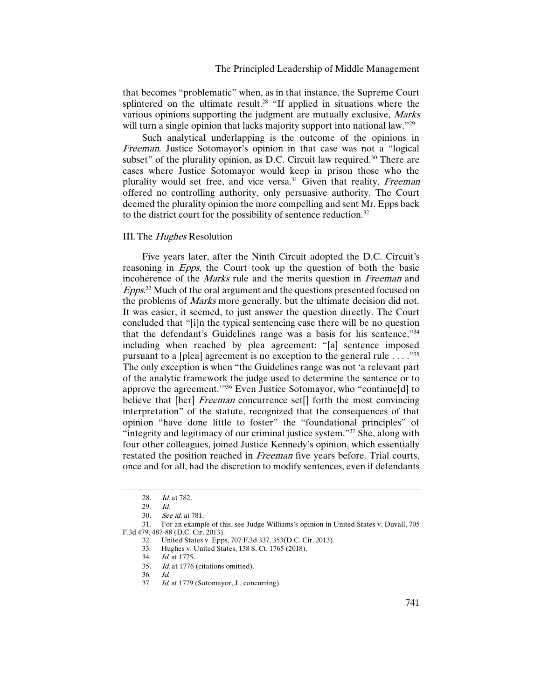that becomes "problematic" when, as in that instance, the Supreme Court splintered on the ultimate result.<sup>28</sup> "If applied in situations where the various opinions supporting the judgment are mutually exclusive, Marks will turn a single opinion that lacks majority support into national law."<sup>29</sup>

Such analytical underlapping is the outcome of the opinions in Freeman. Justice Sotomayor's opinion in that case was not a "logical subset" of the plurality opinion, as D.C. Circuit law required.<sup>30</sup> There are cases where Justice Sotomayor would keep in prison those who the plurality would set free, and vice versa.<sup>31</sup> Given that reality, *Freeman* offered no controlling authority, only persuasive authority. The Court deemed the plurality opinion the more compelling and sent Mr. Epps back to the district court for the possibility of sentence reduction.<sup>32</sup>

#### III. The *Hughes* Resolution

Five years later, after the Ninth Circuit adopted the D.C. Circuit's reasoning in *Epps*, the Court took up the question of both the basic incoherence of the Marks rule and the merits question in Freeman and Epps.<sup>33</sup> Much of the oral argument and the questions presented focused on the problems of *Marks* more generally, but the ultimate decision did not. It was easier, it seemed, to just answer the question directly. The Court concluded that "[i]n the typical sentencing case there will be no question that the defendant's Guidelines range was a basis for his sentence,"34 including when reached by plea agreement: "[a] sentence imposed pursuant to a [plea] agreement is no exception to the general rule  $\dots$ ."<sup>35</sup> The only exception is when "the Guidelines range was not 'a relevant part of the analytic framework the judge used to determine the sentence or to approve the agreement.'"36 Even Justice Sotomayor, who "continue[d] to believe that [her] *Freeman* concurrence set<sup>[]</sup> forth the most convincing interpretation" of the statute, recognized that the consequences of that opinion "have done little to foster" the "foundational principles" of "integrity and legitimacy of our criminal justice system."<sup>37</sup> She, along with four other colleagues, joined Justice Kennedy's opinion, which essentially restated the position reached in Freeman five years before. Trial courts, once and for all, had the discretion to modify sentences, even if defendants

31. For an example of this, see Judge Williams's opinion in United States v. Duvall, 705 F.3d 479, 487-88 (D.C. Cir. 2013).

<sup>28.</sup> Id. at 782.

<sup>29.</sup> Id.

<sup>30.</sup> See id. at 781.

<sup>32.</sup> United States v. Epps, 707 F.3d 337, 353(D.C. Cir. 2013).

<sup>33.</sup> Hughes v. United States, 138 S. Ct. 1765 (2018).<br>34 *Id* at 1775

Id. at 1775.

<sup>35.</sup> Id. at 1776 (citations omitted).

<sup>36.</sup>  $Id.$ <br>37  $Id$ Id. at 1779 (Sotomayor, J., concurring).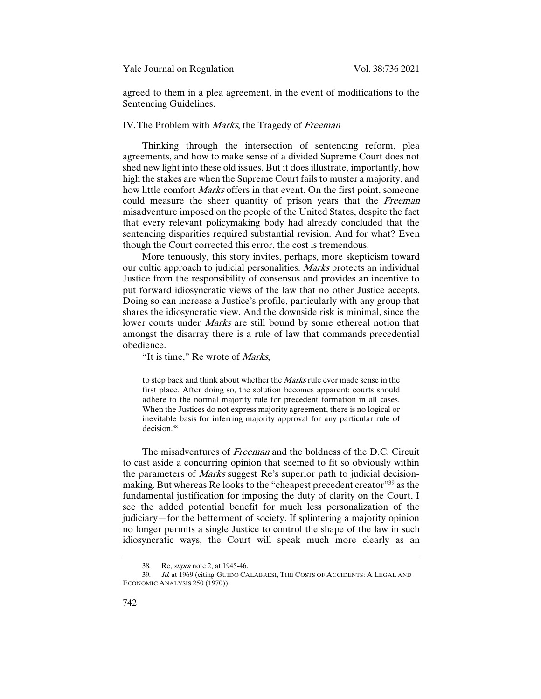Yale Journal on Regulation Vol. 38:736 2021

agreed to them in a plea agreement, in the event of modifications to the Sentencing Guidelines.

## IV. The Problem with *Marks*, the Tragedy of *Freeman*

Thinking through the intersection of sentencing reform, plea agreements, and how to make sense of a divided Supreme Court does not shed new light into these old issues. But it does illustrate, importantly, how high the stakes are when the Supreme Court fails to muster a majority, and how little comfort *Marks* offers in that event. On the first point, someone could measure the sheer quantity of prison years that the Freeman misadventure imposed on the people of the United States, despite the fact that every relevant policymaking body had already concluded that the sentencing disparities required substantial revision. And for what? Even though the Court corrected this error, the cost is tremendous.

More tenuously, this story invites, perhaps, more skepticism toward our cultic approach to judicial personalities. Marks protects an individual Justice from the responsibility of consensus and provides an incentive to put forward idiosyncratic views of the law that no other Justice accepts. Doing so can increase a Justice's profile, particularly with any group that shares the idiosyncratic view. And the downside risk is minimal, since the lower courts under *Marks* are still bound by some ethereal notion that amongst the disarray there is a rule of law that commands precedential obedience.

"It is time," Re wrote of *Marks*,

to step back and think about whether the Marks rule ever made sense in the first place. After doing so, the solution becomes apparent: courts should adhere to the normal majority rule for precedent formation in all cases. When the Justices do not express majority agreement, there is no logical or inevitable basis for inferring majority approval for any particular rule of decision.38

The misadventures of Freeman and the boldness of the D.C. Circuit to cast aside a concurring opinion that seemed to fit so obviously within the parameters of Marks suggest Re's superior path to judicial decisionmaking. But whereas Re looks to the "cheapest precedent creator"<sup>39</sup> as the fundamental justification for imposing the duty of clarity on the Court, I see the added potential benefit for much less personalization of the judiciary—for the betterment of society. If splintering a majority opinion no longer permits a single Justice to control the shape of the law in such idiosyncratic ways, the Court will speak much more clearly as an

<sup>38.</sup> Re, supra note 2, at 1945-46.

<sup>39.</sup> Id. at 1969 (citing GUIDO CALABRESI, THE COSTS OF ACCIDENTS: A LEGAL AND ECONOMIC ANALYSIS 250 (1970)).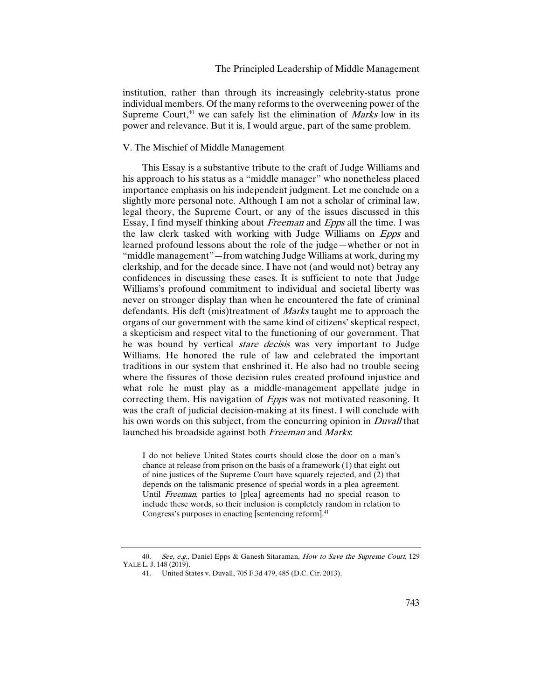institution, rather than through its increasingly celebrity-status prone individual members. Of the many reforms to the overweening power of the Supreme Court, $40$  we can safely list the elimination of *Marks* low in its power and relevance. But it is, I would argue, part of the same problem.

## V. The Mischief of Middle Management

This Essay is a substantive tribute to the craft of Judge Williams and his approach to his status as a "middle manager" who nonetheless placed importance emphasis on his independent judgment. Let me conclude on a slightly more personal note. Although I am not a scholar of criminal law, legal theory, the Supreme Court, or any of the issues discussed in this Essay, I find myself thinking about Freeman and Epps all the time. I was the law clerk tasked with working with Judge Williams on Epps and learned profound lessons about the role of the judge—whether or not in "middle management"—from watching Judge Williams at work, during my clerkship, and for the decade since. I have not (and would not) betray any confidences in discussing these cases. It is sufficient to note that Judge Williams's profound commitment to individual and societal liberty was never on stronger display than when he encountered the fate of criminal defendants. His deft (mis)treatment of Marks taught me to approach the organs of our government with the same kind of citizens' skeptical respect, a skepticism and respect vital to the functioning of our government. That he was bound by vertical *stare decisis* was very important to Judge Williams. He honored the rule of law and celebrated the important traditions in our system that enshrined it. He also had no trouble seeing where the fissures of those decision rules created profound injustice and what role he must play as a middle-management appellate judge in correcting them. His navigation of *Epps* was not motivated reasoning. It was the craft of judicial decision-making at its finest. I will conclude with his own words on this subject, from the concurring opinion in *Duvall* that launched his broadside against both Freeman and Marks.

I do not believe United States courts should close the door on a man's chance at release from prison on the basis of a framework (1) that eight out of nine justices of the Supreme Court have squarely rejected, and (2) that depends on the talismanic presence of special words in a plea agreement. Until Freeman, parties to [plea] agreements had no special reason to include these words, so their inclusion is completely random in relation to Congress's purposes in enacting [sentencing reform].<sup>41</sup>

<sup>40.</sup> See, e.g., Daniel Epps & Ganesh Sitaraman, How to Save the Supreme Court, 129 YALE L. J. 148 (2019).

<sup>41.</sup> United States v. Duvall, 705 F.3d 479, 485 (D.C. Cir. 2013).